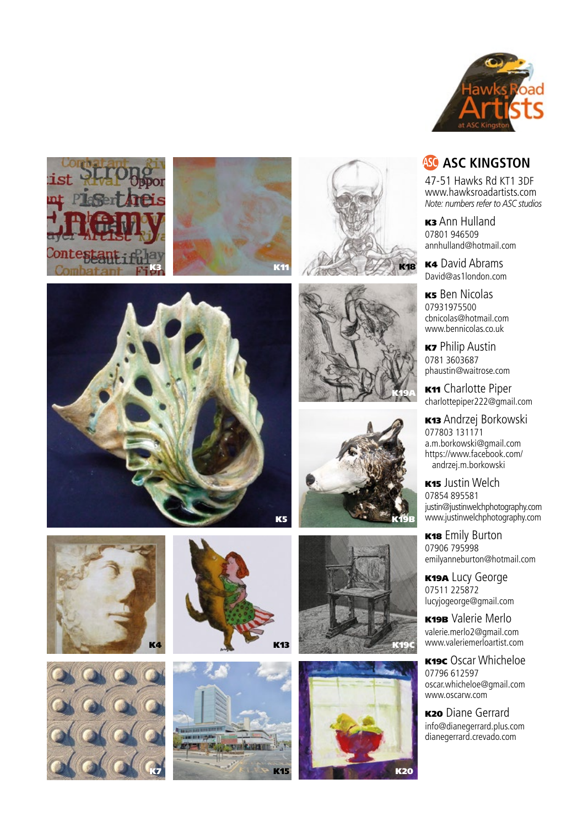



























47-51 Hawks Rd KT1 3DF www.hawksroadartists.com *Note: numbers refer to ASC studios*

**K3** Ann Hulland 07801 946509 annhulland@hotmail.com

**K4** David Abrams David@as1london.com

K5 Ben Nicolas 07931975500 cbnicolas@hotmail.com www.bennicolas.co.uk

**K7** Philip Austin 0781 3603687 phaustin@waitrose.com

K11 Charlotte Piper charlottepiper222@gmail.com

K13 Andrzej Borkowski 077803 131171 a.m.borkowski@gmail.com https://www.facebook.com/ andrzej.m.borkowski

K15 Justin Welch 07854 895581 justin@justinwelchphotography.com www.justinwelchphotography.com

K18 Emily Burton 07906 795998 emilyanneburton@hotmail.com

**K19A Lucy George** 07511 225872 lucyjogeorge@gmail.com

K19B Valerie Merlo valerie.merlo2@gmail.com www.valeriemerloartist.com

K19C Oscar Whicheloe 07796 612597 oscar.whicheloe@gmail.com www.oscarw.com

**K20** Diane Gerrard info@dianegerrard.plus.com dianegerrard.crevado.com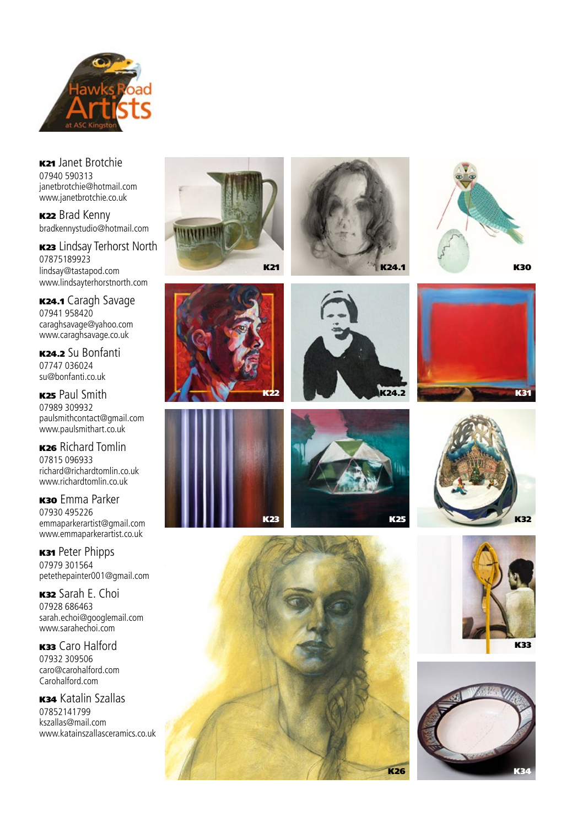

K21 Janet Brotchie 07940 590313 janetbrotchie@hotmail.com www.janetbrotchie.co.uk

**K22** Brad Kenny bradkennystudio@hotmail.com

K<sub>23</sub> Lindsay Terhorst North 07875189923 lindsay@tastapod.com www.lindsayterhorstnorth.com

K24.1 Caragh Savage 07941 958420 caraghsavage@yahoo.com www.caraghsavage.co.uk

K24.2 Su Bonfanti 07747 036024 su@bonfanti.co.uk

**K25 Paul Smith** 07989 309932 paulsmithcontact@gmail.com www.paulsmithart.co.uk

K26 Richard Tomlin 07815 096933 richard@richardtomlin.co.uk www.richardtomlin.co.uk

**K30** Emma Parker 07930 495226 emmaparkerartist@gmail.com www.emmaparkerartist.co.uk

**K31 Peter Phipps** 07979 301564 petethepainter001@gmail.com

K32 Sarah E. Choi 07928 686463 sarah.echoi@googlemail.com www.sarahechoi.com

K33 Caro Halford 07932 309506 caro@carohalford.com Carohalford.com

**K34 Katalin Szallas** 07852141799 kszallas@mail.com www.katainszallasceramics.co.uk